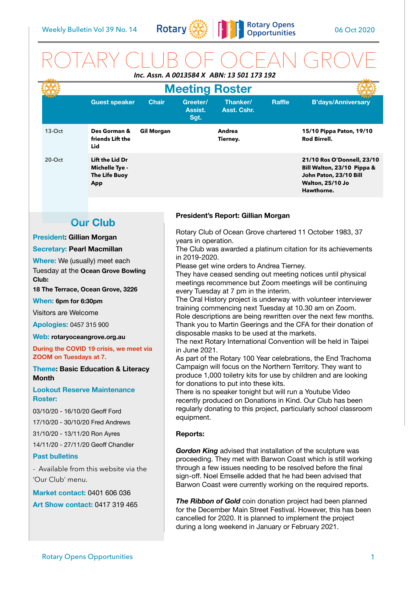

## ROTARY CLUB OF OCEAN GROVE *Inc. Assn. A 0013584 X ABN: 13 501 173 192*

|                                                                   |                                                                    | <b>Meeting Roster</b>                                                   |                   |                                                                                                                                                                                                                                                |                                    |               |                                                                                                                             |  |
|-------------------------------------------------------------------|--------------------------------------------------------------------|-------------------------------------------------------------------------|-------------------|------------------------------------------------------------------------------------------------------------------------------------------------------------------------------------------------------------------------------------------------|------------------------------------|---------------|-----------------------------------------------------------------------------------------------------------------------------|--|
|                                                                   |                                                                    | <b>Guest speaker</b>                                                    | <b>Chair</b>      | Greeter/<br>Assist.<br>Sgt.                                                                                                                                                                                                                    | Thanker/<br>Asst. Cshr.            | <b>Raffle</b> | <b>B'days/Anniversary</b>                                                                                                   |  |
|                                                                   | $13-Oct$                                                           | Des Gorman &<br>friends Lift the<br>Lid                                 | <b>Gil Morgan</b> |                                                                                                                                                                                                                                                | Andrea<br>Tierney.                 |               | 15/10 Pippa Paton, 19/10<br><b>Rod Birrell.</b>                                                                             |  |
|                                                                   | $20$ -Oct                                                          | Lift the Lid Dr<br>Michelle Tye -<br><b>The Life Buoy</b><br><b>App</b> |                   |                                                                                                                                                                                                                                                |                                    |               | 21/10 Ros O'Donnell, 23/10<br>Bill Walton, 23/10 Pippa &<br>John Paton, 23/10 Bill<br><b>Walton, 25/10 Jo</b><br>Hawthorne. |  |
|                                                                   |                                                                    |                                                                         |                   |                                                                                                                                                                                                                                                |                                    |               |                                                                                                                             |  |
|                                                                   |                                                                    | <b>Our Club</b>                                                         |                   |                                                                                                                                                                                                                                                | President's Report: Gillian Morgan |               |                                                                                                                             |  |
| <b>President: Gillian Morgan</b>                                  |                                                                    |                                                                         |                   | Rotary Club of Ocean Grove chartered 11 October 1983, 37<br>years in operation.<br>The Club was awarded a platinum citation for its achievements<br>in 2019-2020.                                                                              |                                    |               |                                                                                                                             |  |
| <b>Secretary: Pearl Macmillan</b>                                 |                                                                    |                                                                         |                   |                                                                                                                                                                                                                                                |                                    |               |                                                                                                                             |  |
| Where: We (usually) meet each                                     |                                                                    |                                                                         |                   |                                                                                                                                                                                                                                                |                                    |               |                                                                                                                             |  |
| Tuesday at the Ocean Grove Bowling                                |                                                                    |                                                                         |                   | Please get wine orders to Andrea Tierney.<br>They have ceased sending out meeting notices until physical                                                                                                                                       |                                    |               |                                                                                                                             |  |
| Club:                                                             |                                                                    |                                                                         |                   | meetings recommence but Zoom meetings will be continuing<br>every Tuesday at 7 pm in the interim.<br>The Oral History project is underway with volunteer interviewer                                                                           |                                    |               |                                                                                                                             |  |
| 18 The Terrace, Ocean Grove, 3226                                 |                                                                    |                                                                         |                   |                                                                                                                                                                                                                                                |                                    |               |                                                                                                                             |  |
| When: 6pm for 6:30pm                                              |                                                                    |                                                                         |                   | training commencing next Tuesday at 10.30 am on Zoom.                                                                                                                                                                                          |                                    |               |                                                                                                                             |  |
| Visitors are Welcome                                              |                                                                    |                                                                         |                   | Role descriptions are being rewritten over the next few months.                                                                                                                                                                                |                                    |               |                                                                                                                             |  |
| <b>Apologies: 0457 315 900</b>                                    |                                                                    |                                                                         |                   | Thank you to Martin Geerings and the CFA for their donation of<br>disposable masks to be used at the markets.                                                                                                                                  |                                    |               |                                                                                                                             |  |
| Web: rotaryoceangrove.org.au                                      |                                                                    |                                                                         |                   | The next Rotary International Convention will be held in Taipei                                                                                                                                                                                |                                    |               |                                                                                                                             |  |
| During the COVID 19 crisis, we meet via<br>ZOOM on Tuesdays at 7. |                                                                    |                                                                         |                   | in June 2021.<br>As part of the Rotary 100 Year celebrations, the End Trachoma                                                                                                                                                                 |                                    |               |                                                                                                                             |  |
| <b>Theme: Basic Education &amp; Literacy</b><br><b>Month</b>      |                                                                    |                                                                         |                   | Campaign will focus on the Northern Territory. They want to<br>produce 1,000 toiletry kits for use by children and are looking<br>for donations to put into these kits.                                                                        |                                    |               |                                                                                                                             |  |
| <b>Lookout Reserve Maintenance</b><br><b>Roster:</b>              |                                                                    |                                                                         |                   | There is no speaker tonight but will run a Youtube Video<br>recently produced on Donations in Kind. Our Club has been                                                                                                                          |                                    |               |                                                                                                                             |  |
|                                                                   | 03/10/20 - 16/10/20 Geoff Ford<br>17/10/20 - 30/10/20 Fred Andrews |                                                                         |                   | regularly donating to this project, particularly school classroom<br>equipment.                                                                                                                                                                |                                    |               |                                                                                                                             |  |
|                                                                   | 31/10/20 - 13/11/20 Ron Ayres                                      |                                                                         |                   | <b>Reports:</b>                                                                                                                                                                                                                                |                                    |               |                                                                                                                             |  |
|                                                                   | 14/11/20 - 27/11/20 Geoff Chandler                                 |                                                                         |                   |                                                                                                                                                                                                                                                |                                    |               |                                                                                                                             |  |
| <b>Past bulletins</b>                                             |                                                                    |                                                                         |                   | <b>Gordon King</b> advised that installation of the sculpture was<br>proceeding. They met with Barwon Coast which is still working                                                                                                             |                                    |               |                                                                                                                             |  |
| - Available from this website via the<br>'Our Club' menu.         |                                                                    |                                                                         |                   | through a few issues needing to be resolved before the final<br>sign-off. Noel Emselle added that he had been advised that                                                                                                                     |                                    |               |                                                                                                                             |  |
|                                                                   | <b>Market contact: 0401 606 036</b>                                |                                                                         |                   | Barwon Coast were currently working on the required reports.                                                                                                                                                                                   |                                    |               |                                                                                                                             |  |
|                                                                   |                                                                    | <b>Art Show contact: 0417 319 465</b>                                   |                   | The Ribbon of Gold coin donation project had been planned<br>for the December Main Street Festival. However, this has been<br>cancelled for 2020. It is planned to implement the project<br>during a long weekend in January or February 2021. |                                    |               |                                                                                                                             |  |
|                                                                   |                                                                    | <b>Rotary Opens Opportunities</b>                                       |                   |                                                                                                                                                                                                                                                |                                    |               |                                                                                                                             |  |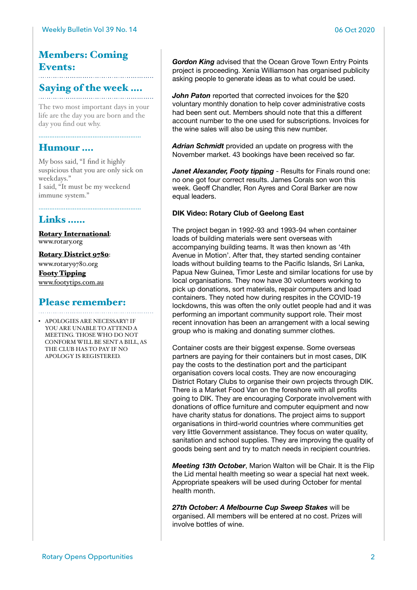### Members: Coming Events:

# Saying of the week ….

The two most important days in your life are the day you are born and the day you find out why.

#### Humour ….

My boss said, "I find it highly suspicious that you are only sick on weekdays." I said, "It must be my weekend immune system."

……………………………

…………………………………………………

### Links ……

[Rotary International](https://www.rotary.org): [www.rotary.org](http://www.rotary.org)

[Rotary District 9780](http://rotary9780.org):

[www.rotary9780.org](http://www.rotary9780.org) [Footy Tipping](http://www.footytips.com.au) [www.footytips.com.au](http://www.footytips.com.au)

# Please remember:

• APOLOGIES ARE NECESSARY! IF YOU ARE UNABLE TO ATTEND A MEETING. THOSE WHO DO NOT CONFORM WILL BE SENT A BILL, AS THE CLUB HAS TO PAY IF NO APOLOGY IS REGISTERED.

*Gordon King advised that the Ocean Grove Town Entry Points* project is proceeding. Xenia Williamson has organised publicity asking people to generate ideas as to what could be used.

*John Paton* reported that corrected invoices for the \$20 voluntary monthly donation to help cover administrative costs had been sent out. Members should note that this a different account number to the one used for subscriptions. Invoices for the wine sales will also be using this new number.

*Adrian Schmidt* provided an update on progress with the November market. 43 bookings have been received so far.

**Janet Alexander, Footy tipping** - Results for Finals round one: no one got four correct results. James Corals son won this week. Geoff Chandler, Ron Ayres and Coral Barker are now equal leaders.

#### **DIK Video: Rotary Club of Geelong East**

The project began in 1992-93 and 1993-94 when container loads of building materials were sent overseas with accompanying building teams. It was then known as '4th Avenue in Motion'. After that, they started sending container loads without building teams to the Pacific Islands, Sri Lanka, Papua New Guinea, Timor Leste and similar locations for use by local organisations. They now have 30 volunteers working to pick up donations, sort materials, repair computers and load containers. They noted how during respites in the COVID-19 lockdowns, this was often the only outlet people had and it was performing an important community support role. Their most recent innovation has been an arrangement with a local sewing group who is making and donating summer clothes.

Container costs are their biggest expense. Some overseas partners are paying for their containers but in most cases, DIK pay the costs to the destination port and the participant organisation covers local costs. They are now encouraging District Rotary Clubs to organise their own projects through DIK. There is a Market Food Van on the foreshore with all profits going to DIK. They are encouraging Corporate involvement with donations of office furniture and computer equipment and now have charity status for donations. The project aims to support organisations in third-world countries where communities get very little Government assistance. They focus on water quality, sanitation and school supplies. They are improving the quality of goods being sent and try to match needs in recipient countries.

*Meeting 13th October*, Marion Walton will be Chair. It is the Flip the Lid mental health meeting so wear a special hat next week. Appropriate speakers will be used during October for mental health month.

*27th October: A Melbourne Cup Sweep Stakes* will be organised. All members will be entered at no cost. Prizes will involve bottles of wine.